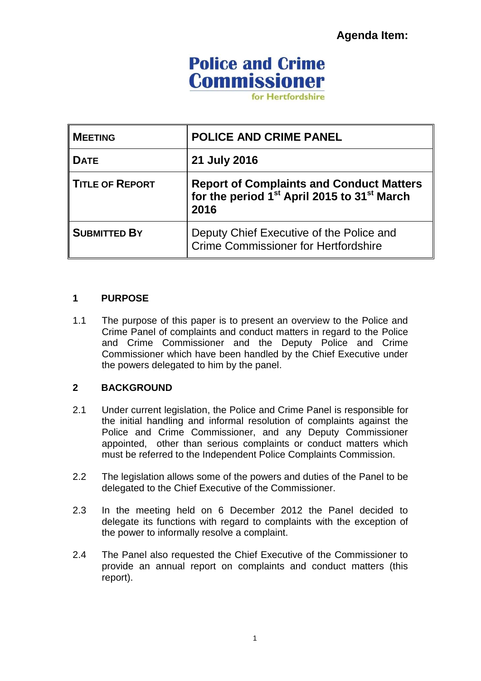**Agenda Item:**

# **Police and Crime Commissioner**

for Hertfordshire

| <b>MEETING</b>         | <b>POLICE AND CRIME PANEL</b>                                                                                           |
|------------------------|-------------------------------------------------------------------------------------------------------------------------|
| <b>DATE</b>            | 21 July 2016                                                                                                            |
| <b>TITLE OF REPORT</b> | Report of Complaints and Conduct Matters<br>for the period 1 <sup>st</sup> April 2015 to 31 <sup>st</sup> March<br>2016 |
| <b>SUBMITTED BY</b>    | Deputy Chief Executive of the Police and<br><b>Crime Commissioner for Hertfordshire</b>                                 |

#### **1 PURPOSE**

1.1 The purpose of this paper is to present an overview to the Police and Crime Panel of complaints and conduct matters in regard to the Police and Crime Commissioner and the Deputy Police and Crime Commissioner which have been handled by the Chief Executive under the powers delegated to him by the panel.

### **2 BACKGROUND**

- 2.1 Under current legislation, the Police and Crime Panel is responsible for the initial handling and informal resolution of complaints against the Police and Crime Commissioner, and any Deputy Commissioner appointed, other than serious complaints or conduct matters which must be referred to the Independent Police Complaints Commission.
- 2.2 The legislation allows some of the powers and duties of the Panel to be delegated to the Chief Executive of the Commissioner.
- 2.3 In the meeting held on 6 December 2012 the Panel decided to delegate its functions with regard to complaints with the exception of the power to informally resolve a complaint.
- 2.4 The Panel also requested the Chief Executive of the Commissioner to provide an annual report on complaints and conduct matters (this report).